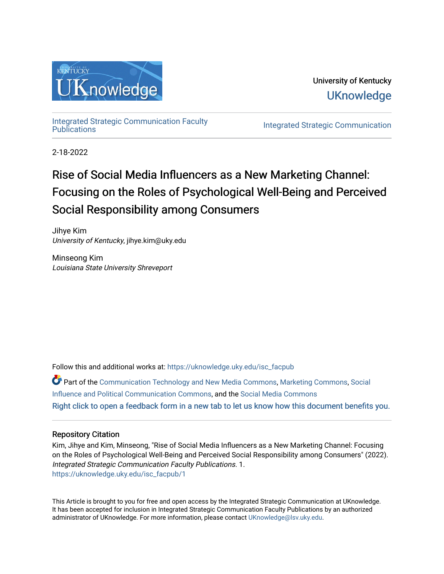

University of Kentucky **UKnowledge** 

[Integrated Strategic Communication Faculty](https://uknowledge.uky.edu/isc_facpub) 

**Integrated Strategic Communication** 

2-18-2022

# Rise of Social Media Influencers as a New Marketing Channel: Focusing on the Roles of Psychological Well-Being and Perceived Social Responsibility among Consumers

Jihye Kim University of Kentucky, jihye.kim@uky.edu

Minseong Kim Louisiana State University Shreveport

Follow this and additional works at: [https://uknowledge.uky.edu/isc\\_facpub](https://uknowledge.uky.edu/isc_facpub?utm_source=uknowledge.uky.edu%2Fisc_facpub%2F1&utm_medium=PDF&utm_campaign=PDFCoverPages) 

Part of the [Communication Technology and New Media Commons,](http://network.bepress.com/hgg/discipline/327?utm_source=uknowledge.uky.edu%2Fisc_facpub%2F1&utm_medium=PDF&utm_campaign=PDFCoverPages) [Marketing Commons](http://network.bepress.com/hgg/discipline/638?utm_source=uknowledge.uky.edu%2Fisc_facpub%2F1&utm_medium=PDF&utm_campaign=PDFCoverPages), [Social](http://network.bepress.com/hgg/discipline/337?utm_source=uknowledge.uky.edu%2Fisc_facpub%2F1&utm_medium=PDF&utm_campaign=PDFCoverPages) [Influence and Political Communication Commons,](http://network.bepress.com/hgg/discipline/337?utm_source=uknowledge.uky.edu%2Fisc_facpub%2F1&utm_medium=PDF&utm_campaign=PDFCoverPages) and the [Social Media Commons](http://network.bepress.com/hgg/discipline/1249?utm_source=uknowledge.uky.edu%2Fisc_facpub%2F1&utm_medium=PDF&utm_campaign=PDFCoverPages)  [Right click to open a feedback form in a new tab to let us know how this document benefits you.](https://uky.az1.qualtrics.com/jfe/form/SV_9mq8fx2GnONRfz7)

# Repository Citation

Kim, Jihye and Kim, Minseong, "Rise of Social Media Influencers as a New Marketing Channel: Focusing on the Roles of Psychological Well-Being and Perceived Social Responsibility among Consumers" (2022). Integrated Strategic Communication Faculty Publications. 1. [https://uknowledge.uky.edu/isc\\_facpub/1](https://uknowledge.uky.edu/isc_facpub/1?utm_source=uknowledge.uky.edu%2Fisc_facpub%2F1&utm_medium=PDF&utm_campaign=PDFCoverPages) 

This Article is brought to you for free and open access by the Integrated Strategic Communication at UKnowledge. It has been accepted for inclusion in Integrated Strategic Communication Faculty Publications by an authorized administrator of UKnowledge. For more information, please contact [UKnowledge@lsv.uky.edu](mailto:UKnowledge@lsv.uky.edu).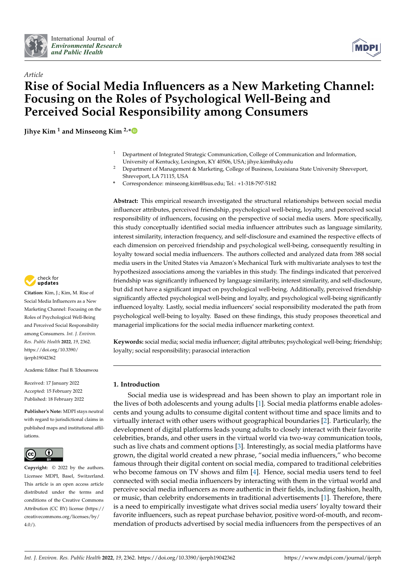



# *Article* **Rise of Social Media Influencers as a New Marketing Channel: Focusing on the Roles of Psychological Well-Being and Perceived Social Responsibility among Consumers**

**Jihye Kim <sup>1</sup> and Minseong Kim 2,[\\*](https://orcid.org/0000-0001-9148-8061)**

- <sup>1</sup> Department of Integrated Strategic Communication, College of Communication and Information, University of Kentucky, Lexington, KY 40506, USA; jihye.kim@uky.edu
- <sup>2</sup> Department of Management & Marketing, College of Business, Louisiana State University Shreveport, Shreveport, LA 71115, USA
- **\*** Correspondence: minseong.kim@lsus.edu; Tel.: +1-318-797-5182

**Abstract:** This empirical research investigated the structural relationships between social media influencer attributes, perceived friendship, psychological well-being, loyalty, and perceived social responsibility of influencers, focusing on the perspective of social media users. More specifically, this study conceptually identified social media influencer attributes such as language similarity, interest similarity, interaction frequency, and self-disclosure and examined the respective effects of each dimension on perceived friendship and psychological well-being, consequently resulting in loyalty toward social media influencers. The authors collected and analyzed data from 388 social media users in the United States via Amazon's Mechanical Turk with multivariate analyses to test the hypothesized associations among the variables in this study. The findings indicated that perceived friendship was significantly influenced by language similarity, interest similarity, and self-disclosure, but did not have a significant impact on psychological well-being. Additionally, perceived friendship significantly affected psychological well-being and loyalty, and psychological well-being significantly influenced loyalty. Lastly, social media influencers' social responsibility moderated the path from psychological well-being to loyalty. Based on these findings, this study proposes theoretical and managerial implications for the social media influencer marketing context.

**Keywords:** social media; social media influencer; digital attributes; psychological well-being; friendship; loyalty; social responsibility; parasocial interaction

# **1. Introduction**

Social media use is widespread and has been shown to play an important role in the lives of both adolescents and young adults [\[1\]](#page-17-0). Social media platforms enable adolescents and young adults to consume digital content without time and space limits and to virtually interact with other users without geographical boundaries [\[2\]](#page-17-1). Particularly, the development of digital platforms leads young adults to closely interact with their favorite celebrities, brands, and other users in the virtual world via two-way communication tools, such as live chats and comment options [\[3\]](#page-17-2). Interestingly, as social media platforms have grown, the digital world created a new phrase, "social media influencers," who become famous through their digital content on social media, compared to traditional celebrities who become famous on TV shows and film [\[4\]](#page-17-3). Hence, social media users tend to feel connected with social media influencers by interacting with them in the virtual world and perceive social media influencers as more authentic in their fields, including fashion, health, or music, than celebrity endorsements in traditional advertisements [\[1\]](#page-17-0). Therefore, there is a need to empirically investigate what drives social media users' loyalty toward their favorite influencers, such as repeat purchase behavior, positive word-of-mouth, and recommendation of products advertised by social media influencers from the perspectives of an



**Citation:** Kim, J.; Kim, M. Rise of Social Media Influencers as a New Marketing Channel: Focusing on the Roles of Psychological Well-Being and Perceived Social Responsibility among Consumers. *Int. J. Environ. Res. Public Health* **2022**, *19*, 2362. [https://doi.org/10.3390/](https://doi.org/10.3390/ijerph19042362) [ijerph19042362](https://doi.org/10.3390/ijerph19042362)

Academic Editor: Paul B. Tchounwou

Received: 17 January 2022 Accepted: 15 February 2022 Published: 18 February 2022

**Publisher's Note:** MDPI stays neutral with regard to jurisdictional claims in published maps and institutional affiliations.



**Copyright:** © 2022 by the authors. Licensee MDPI, Basel, Switzerland. This article is an open access article distributed under the terms and conditions of the Creative Commons Attribution (CC BY) license [\(https://](https://creativecommons.org/licenses/by/4.0/) [creativecommons.org/licenses/by/](https://creativecommons.org/licenses/by/4.0/)  $4.0/$ ).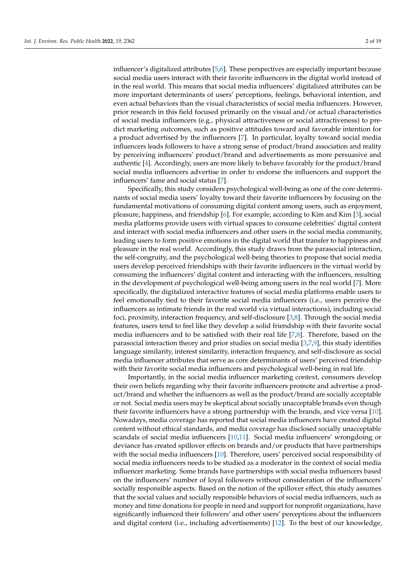influencer's digitalized attributes [\[5](#page-17-4)[,6\]](#page-17-5). These perspectives are especially important because social media users interact with their favorite influencers in the digital world instead of in the real world. This means that social media influencers' digitalized attributes can be more important determinants of users' perceptions, feelings, behavioral intention, and even actual behaviors than the visual characteristics of social media influencers. However, prior research in this field focused primarily on the visual and/or actual characteristics of social media influencers (e.g., physical attractiveness or social attractiveness) to predict marketing outcomes, such as positive attitudes toward and favorable intention for a product advertised by the influencers [\[7\]](#page-17-6). In particular, loyalty toward social media influencers leads followers to have a strong sense of product/brand association and reality by perceiving influencers' product/brand and advertisements as more persuasive and authentic [\[4\]](#page-17-3). Accordingly, users are more likely to behave favorably for the product/brand social media influencers advertise in order to endorse the influencers and support the influencers' fame and social status [\[7\]](#page-17-6).

Specifically, this study considers psychological well-being as one of the core determinants of social media users' loyalty toward their favorite influencers by focusing on the fundamental motivations of consuming digital content among users, such as enjoyment, pleasure, happiness, and friendship [\[6\]](#page-17-5). For example, according to Kim and Kim [\[3\]](#page-17-2), social media platforms provide users with virtual spaces to consume celebrities' digital content and interact with social media influencers and other users in the social media community, leading users to form positive emotions in the digital world that transfer to happiness and pleasure in the real world. Accordingly, this study draws from the parasocial interaction, the self-congruity, and the psychological well-being theories to propose that social media users develop perceived friendships with their favorite influencers in the virtual world by consuming the influencers' digital content and interacting with the influencers, resulting in the development of psychological well-being among users in the real world [\[7\]](#page-17-6). More specifically, the digitalized interactive features of social media platforms enable users to feel emotionally tied to their favorite social media influencers (i.e., users perceive the influencers as intimate friends in the real world via virtual interactions), including social foci, proximity, interaction frequency, and self-disclosure [\[3](#page-17-2)[,8\]](#page-17-7). Through the social media features, users tend to feel like they develop a solid friendship with their favorite social media influencers and to be satisfied with their real life  $[7,8]$  $[7,8]$ . Therefore, based on the parasocial interaction theory and prior studies on social media [\[3](#page-17-2)[,7,](#page-17-6)[9\]](#page-17-8), this study identifies language similarity, interest similarity, interaction frequency, and self-disclosure as social media influencer attributes that serve as core determinants of users' perceived friendship with their favorite social media influencers and psychological well-being in real life.

Importantly, in the social media influencer marketing context, consumers develop their own beliefs regarding why their favorite influencers promote and advertise a product/brand and whether the influencers as well as the product/brand are socially acceptable or not. Social media users may be skeptical about socially unacceptable brands even though their favorite influencers have a strong partnership with the brands, and vice versa [\[10\]](#page-17-9). Nowadays, media coverage has reported that social media influencers have created digital content without ethical standards, and media coverage has disclosed socially unacceptable scandals of social media influencers [\[10,](#page-17-9)[11\]](#page-17-10). Social media influencers' wrongdoing or deviance has created spillover effects on brands and/or products that have partnerships with the social media influencers [\[10\]](#page-17-9). Therefore, users' perceived social responsibility of social media influencers needs to be studied as a moderator in the context of social media influencer marketing. Some brands have partnerships with social media influencers based on the influencers' number of loyal followers without consideration of the influencers' socially responsible aspects. Based on the notion of the spillover effect, this study assumes that the social values and socially responsible behaviors of social media influencers, such as money and time donations for people in need and support for nonprofit organizations, have significantly influenced their followers' and other users' perceptions about the influencers and digital content (i.e., including advertisements) [\[12\]](#page-17-11). To the best of our knowledge,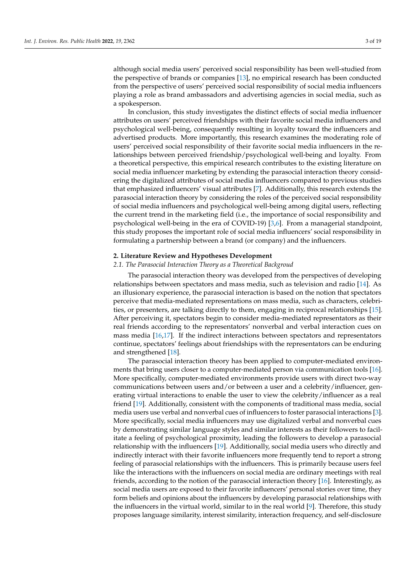although social media users' perceived social responsibility has been well-studied from the perspective of brands or companies [\[13\]](#page-17-12), no empirical research has been conducted from the perspective of users' perceived social responsibility of social media influencers playing a role as brand ambassadors and advertising agencies in social media, such as a spokesperson.

In conclusion, this study investigates the distinct effects of social media influencer attributes on users' perceived friendships with their favorite social media influencers and psychological well-being, consequently resulting in loyalty toward the influencers and advertised products. More importantly, this research examines the moderating role of users' perceived social responsibility of their favorite social media influencers in the relationships between perceived friendship/psychological well-being and loyalty. From a theoretical perspective, this empirical research contributes to the existing literature on social media influencer marketing by extending the parasocial interaction theory considering the digitalized attributes of social media influencers compared to previous studies that emphasized influencers' visual attributes [\[7\]](#page-17-6). Additionally, this research extends the parasocial interaction theory by considering the roles of the perceived social responsibility of social media influencers and psychological well-being among digital users, reflecting the current trend in the marketing field (i.e., the importance of social responsibility and psychological well-being in the era of COVID-19) [\[3,](#page-17-2)[6\]](#page-17-5). From a managerial standpoint, this study proposes the important role of social media influencers' social responsibility in formulating a partnership between a brand (or company) and the influencers.

# **2. Literature Review and Hypotheses Development**

# *2.1. The Parasocial Interaction Theory as a Theoretical Backgroud*

The parasocial interaction theory was developed from the perspectives of developing relationships between spectators and mass media, such as television and radio [\[14\]](#page-17-13). As an illusionary experience, the parasocial interaction is based on the notion that spectators perceive that media-mediated representations on mass media, such as characters, celebrities, or presenters, are talking directly to them, engaging in reciprocal relationships [\[15\]](#page-17-14). After perceiving it, spectators begin to consider media-mediated representators as their real friends according to the representators' nonverbal and verbal interaction cues on mass media [\[16](#page-17-15)[,17\]](#page-17-16). If the indirect interactions between spectators and representators continue, spectators' feelings about friendships with the representators can be enduring and strengthened [\[18\]](#page-18-0).

The parasocial interaction theory has been applied to computer-mediated environments that bring users closer to a computer-mediated person via communication tools [\[16\]](#page-17-15). More specifically, computer-mediated environments provide users with direct two-way communications between users and/or between a user and a celebrity/influencer, generating virtual interactions to enable the user to view the celebrity/influencer as a real friend [\[19\]](#page-18-1). Additionally, consistent with the components of traditional mass media, social media users use verbal and nonverbal cues of influencers to foster parasocial interactions [\[3\]](#page-17-2). More specifically, social media influencers may use digitalized verbal and nonverbal cues by demonstrating similar language styles and similar interests as their followers to facilitate a feeling of psychological proximity, leading the followers to develop a parasocial relationship with the influencers [\[19\]](#page-18-1). Additionally, social media users who directly and indirectly interact with their favorite influencers more frequently tend to report a strong feeling of parasocial relationships with the influencers. This is primarily because users feel like the interactions with the influencers on social media are ordinary meetings with real friends, according to the notion of the parasocial interaction theory [\[16\]](#page-17-15). Interestingly, as social media users are exposed to their favorite influencers' personal stories over time, they form beliefs and opinions about the influencers by developing parasocial relationships with the influencers in the virtual world, similar to in the real world [\[9\]](#page-17-8). Therefore, this study proposes language similarity, interest similarity, interaction frequency, and self-disclosure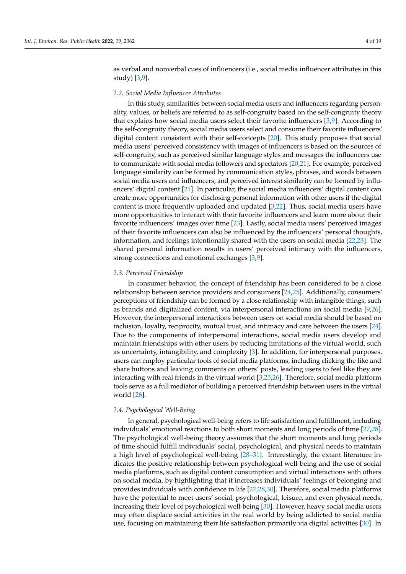as verbal and nonverbal cues of influencers (i.e., social media influencer attributes in this study) [\[3,](#page-17-2)[9\]](#page-17-8).

# *2.2. Social Media Influencer Attributes*

In this study, similarities between social media users and influencers regarding personality, values, or beliefs are referred to as self-congruity based on the self-congruity theory that explains how social media users select their favorite influencers [\[3](#page-17-2)[,9\]](#page-17-8). According to the self-congruity theory, social media users select and consume their favorite influencers' digital content consistent with their self-concepts [\[20\]](#page-18-2). This study proposes that social media users' perceived consistency with images of influencers is based on the sources of self-congruity, such as perceived similar language styles and messages the influencers use to communicate with social media followers and spectators [\[20](#page-18-2)[,21\]](#page-18-3). For example, perceived language similarity can be formed by communication styles, phrases, and words between social media users and influencers, and perceived interest similarity can be formed by influencers' digital content [\[21\]](#page-18-3). In particular, the social media influencers' digital content can create more opportunities for disclosing personal information with other users if the digital content is more frequently uploaded and updated [\[3](#page-17-2)[,22\]](#page-18-4). Thus, social media users have more opportunities to interact with their favorite influencers and learn more about their favorite influencers' images over time [\[23\]](#page-18-5). Lastly, social media users' perceived images of their favorite influencers can also be influenced by the influencers' personal thoughts, information, and feelings intentionally shared with the users on social media [\[22,](#page-18-4)[23\]](#page-18-5). The shared personal information results in users' perceived intimacy with the influencers, strong connections and emotional exchanges [\[3](#page-17-2)[,9\]](#page-17-8).

#### *2.3. Perceived Friendship*

In consumer behavior, the concept of friendship has been considered to be a close relationship between service providers and consumers [\[24](#page-18-6)[,25\]](#page-18-7). Additionally, consumers' perceptions of friendship can be formed by a close relationship with intangible things, such as brands and digitalized content, via interpersonal interactions on social media [\[9,](#page-17-8)[26\]](#page-18-8). However, the interpersonal interactions between users on social media should be based on inclusion, loyalty, reciprocity, mutual trust, and intimacy and care between the users [\[24\]](#page-18-6). Due to the components of interpersonal interactions, social media users develop and maintain friendships with other users by reducing limitations of the virtual world, such as uncertainty, intangibility, and complexity [\[3\]](#page-17-2). In addition, for interpersonal purposes, users can employ particular tools of social media platforms, including clicking the like and share buttons and leaving comments on others' posts, leading users to feel like they are interacting with real friends in the virtual world [\[3](#page-17-2)[,25,](#page-18-7)[26\]](#page-18-8). Therefore, social media platform tools serve as a full mediator of building a perceived friendship between users in the virtual world [\[26\]](#page-18-8).

# *2.4. Psychological Well-Being*

In general, psychological well-being refers to life satisfaction and fulfillment, including individuals' emotional reactions to both short moments and long periods of time [\[27,](#page-18-9)[28\]](#page-18-10). The psychological well-being theory assumes that the short moments and long periods of time should fulfill individuals' social, psychological, and physical needs to maintain a high level of psychological well-being [\[28–](#page-18-10)[31\]](#page-18-11). Interestingly, the extant literature indicates the positive relationship between psychological well-being and the use of social media platforms, such as digital content consumption and virtual interactions with others on social media, by highlighting that it increases individuals' feelings of belonging and provides individuals with confidence in life [\[27,](#page-18-9)[28](#page-18-10)[,30\]](#page-18-12). Therefore, social media platforms have the potential to meet users' social, psychological, leisure, and even physical needs, increasing their level of psychological well-being [\[30\]](#page-18-12). However, heavy social media users may often displace social activities in the real world by being addicted to social media use, focusing on maintaining their life satisfaction primarily via digital activities [\[30\]](#page-18-12). In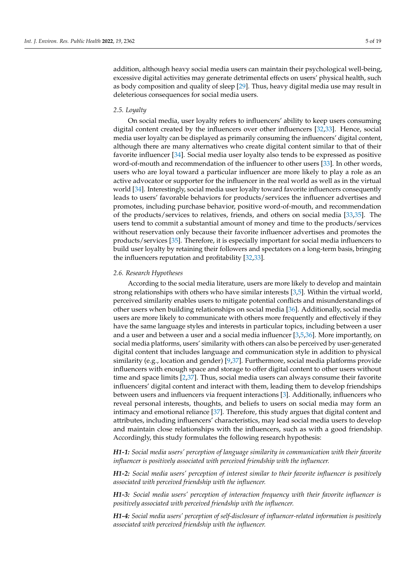addition, although heavy social media users can maintain their psychological well-being, excessive digital activities may generate detrimental effects on users' physical health, such as body composition and quality of sleep [\[29\]](#page-18-13). Thus, heavy digital media use may result in deleterious consequences for social media users.

#### *2.5. Loyalty*

On social media, user loyalty refers to influencers' ability to keep users consuming digital content created by the influencers over other influencers [\[32,](#page-18-14)[33\]](#page-18-15). Hence, social media user loyalty can be displayed as primarily consuming the influencers' digital content, although there are many alternatives who create digital content similar to that of their favorite influencer [\[34\]](#page-18-16). Social media user loyalty also tends to be expressed as positive word-of-mouth and recommendation of the influencer to other users [\[33\]](#page-18-15). In other words, users who are loyal toward a particular influencer are more likely to play a role as an active advocator or supporter for the influencer in the real world as well as in the virtual world [\[34\]](#page-18-16). Interestingly, social media user loyalty toward favorite influencers consequently leads to users' favorable behaviors for products/services the influencer advertises and promotes, including purchase behavior, positive word-of-mouth, and recommendation of the products/services to relatives, friends, and others on social media [\[33,](#page-18-15)[35\]](#page-18-17). The users tend to commit a substantial amount of money and time to the products/services without reservation only because their favorite influencer advertises and promotes the products/services [\[35\]](#page-18-17). Therefore, it is especially important for social media influencers to build user loyalty by retaining their followers and spectators on a long-term basis, bringing the influencers reputation and profitability [\[32,](#page-18-14)[33\]](#page-18-15).

#### *2.6. Research Hypotheses*

According to the social media literature, users are more likely to develop and maintain strong relationships with others who have similar interests [\[3,](#page-17-2)[5\]](#page-17-4). Within the virtual world, perceived similarity enables users to mitigate potential conflicts and misunderstandings of other users when building relationships on social media [\[36\]](#page-18-18). Additionally, social media users are more likely to communicate with others more frequently and effectively if they have the same language styles and interests in particular topics, including between a user and a user and between a user and a social media influencer [\[3,](#page-17-2)[5,](#page-17-4)[36\]](#page-18-18). More importantly, on social media platforms, users' similarity with others can also be perceived by user-generated digital content that includes language and communication style in addition to physical similarity (e.g., location and gender) [\[9,](#page-17-8)[37\]](#page-18-19). Furthermore, social media platforms provide influencers with enough space and storage to offer digital content to other users without time and space limits [\[2](#page-17-1)[,37\]](#page-18-19). Thus, social media users can always consume their favorite influencers' digital content and interact with them, leading them to develop friendships between users and influencers via frequent interactions [\[3\]](#page-17-2). Additionally, influencers who reveal personal interests, thoughts, and beliefs to users on social media may form an intimacy and emotional reliance [\[37\]](#page-18-19). Therefore, this study argues that digital content and attributes, including influencers' characteristics, may lead social media users to develop and maintain close relationships with the influencers, such as with a good friendship. Accordingly, this study formulates the following research hypothesis:

*H1-1: Social media users' perception of language similarity in communication with their favorite influencer is positively associated with perceived friendship with the influencer.*

*H1-2: Social media users' perception of interest similar to their favorite influencer is positively associated with perceived friendship with the influencer.*

*H1-3: Social media users' perception of interaction frequency with their favorite influencer is positively associated with perceived friendship with the influencer.*

*H1-4: Social media users' perception of self-disclosure of influencer-related information is positively associated with perceived friendship with the influencer.*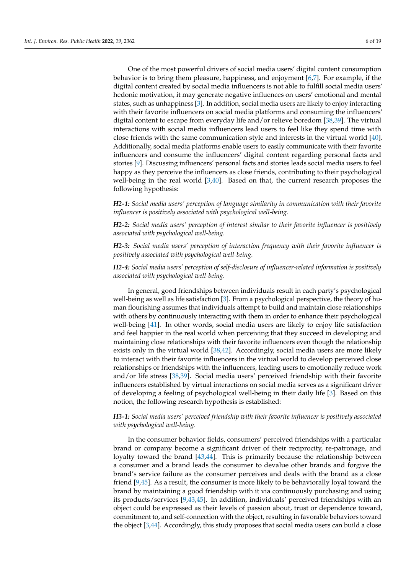One of the most powerful drivers of social media users' digital content consumption behavior is to bring them pleasure, happiness, and enjoyment [\[6](#page-17-5)[,7\]](#page-17-6). For example, if the digital content created by social media influencers is not able to fulfill social media users' hedonic motivation, it may generate negative influences on users' emotional and mental states, such as unhappiness [\[3\]](#page-17-2). In addition, social media users are likely to enjoy interacting with their favorite influencers on social media platforms and consuming the influencers' digital content to escape from everyday life and/or relieve boredom [\[38](#page-18-20)[,39\]](#page-18-21). The virtual interactions with social media influencers lead users to feel like they spend time with close friends with the same communication style and interests in the virtual world [\[40\]](#page-18-22). Additionally, social media platforms enable users to easily communicate with their favorite influencers and consume the influencers' digital content regarding personal facts and stories [\[9\]](#page-17-8). Discussing influencers' personal facts and stories leads social media users to feel happy as they perceive the influencers as close friends, contributing to their psychological well-being in the real world [\[3,](#page-17-2)[40\]](#page-18-22). Based on that, the current research proposes the following hypothesis:

*H2-1: Social media users' perception of language similarity in communication with their favorite influencer is positively associated with psychological well-being.*

*H2-2: Social media users' perception of interest similar to their favorite influencer is positively associated with psychological well-being.*

*H2-3: Social media users' perception of interaction frequency with their favorite influencer is positively associated with psychological well-being.*

*H2-4: Social media users' perception of self-disclosure of influencer-related information is positively associated with psychological well-being.*

In general, good friendships between individuals result in each party's psychological well-being as well as life satisfaction [\[3\]](#page-17-2). From a psychological perspective, the theory of human flourishing assumes that individuals attempt to build and maintain close relationships with others by continuously interacting with them in order to enhance their psychological well-being [\[41\]](#page-18-23). In other words, social media users are likely to enjoy life satisfaction and feel happier in the real world when perceiving that they succeed in developing and maintaining close relationships with their favorite influencers even though the relationship exists only in the virtual world [\[38](#page-18-20)[,42\]](#page-18-24). Accordingly, social media users are more likely to interact with their favorite influencers in the virtual world to develop perceived close relationships or friendships with the influencers, leading users to emotionally reduce work and/or life stress [\[38,](#page-18-20)[39\]](#page-18-21). Social media users' perceived friendship with their favorite influencers established by virtual interactions on social media serves as a significant driver of developing a feeling of psychological well-being in their daily life [\[3\]](#page-17-2). Based on this notion, the following research hypothesis is established:

# *H3-1: Social media users' perceived friendship with their favorite influencer is positively associated with psychological well-being.*

In the consumer behavior fields, consumers' perceived friendships with a particular brand or company become a significant driver of their reciprocity, re-patronage, and loyalty toward the brand [\[43,](#page-18-25)[44\]](#page-18-26). This is primarily because the relationship between a consumer and a brand leads the consumer to devalue other brands and forgive the brand's service failure as the consumer perceives and deals with the brand as a close friend [\[9](#page-17-8)[,45\]](#page-18-27). As a result, the consumer is more likely to be behaviorally loyal toward the brand by maintaining a good friendship with it via continuously purchasing and using its products/services [\[9](#page-17-8)[,43](#page-18-25)[,45\]](#page-18-27). In addition, individuals' perceived friendships with an object could be expressed as their levels of passion about, trust or dependence toward, commitment to, and self-connection with the object, resulting in favorable behaviors toward the object [\[3,](#page-17-2)[44\]](#page-18-26). Accordingly, this study proposes that social media users can build a close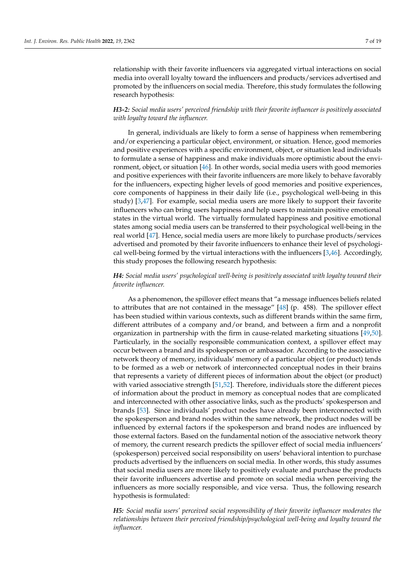relationship with their favorite influencers via aggregated virtual interactions on social media into overall loyalty toward the influencers and products/services advertised and promoted by the influencers on social media. Therefore, this study formulates the following research hypothesis:

# *H3-2: Social media users' perceived friendship with their favorite influencer is positively associated with loyalty toward the influencer.*

In general, individuals are likely to form a sense of happiness when remembering and/or experiencing a particular object, environment, or situation. Hence, good memories and positive experiences with a specific environment, object, or situation lead individuals to formulate a sense of happiness and make individuals more optimistic about the environment, object, or situation [\[46\]](#page-18-28). In other words, social media users with good memories and positive experiences with their favorite influencers are more likely to behave favorably for the influencers, expecting higher levels of good memories and positive experiences, core components of happiness in their daily life (i.e., psychological well-being in this study) [\[3](#page-17-2)[,47\]](#page-18-29). For example, social media users are more likely to support their favorite influencers who can bring users happiness and help users to maintain positive emotional states in the virtual world. The virtually formulated happiness and positive emotional states among social media users can be transferred to their psychological well-being in the real world [\[47\]](#page-18-29). Hence, social media users are more likely to purchase products/services advertised and promoted by their favorite influencers to enhance their level of psychological well-being formed by the virtual interactions with the influencers [\[3,](#page-17-2)[46\]](#page-18-28). Accordingly, this study proposes the following research hypothesis:

# *H4: Social media users' psychological well-being is positively associated with loyalty toward their favorite influencer.*

As a phenomenon, the spillover effect means that "a message influences beliefs related to attributes that are not contained in the message" [\[48\]](#page-18-30) (p. 458). The spillover effect has been studied within various contexts, such as different brands within the same firm, different attributes of a company and/or brand, and between a firm and a nonprofit organization in partnership with the firm in cause-related marketing situations [\[49,](#page-19-0)[50\]](#page-19-1). Particularly, in the socially responsible communication context, a spillover effect may occur between a brand and its spokesperson or ambassador. According to the associative network theory of memory, individuals' memory of a particular object (or product) tends to be formed as a web or network of interconnected conceptual nodes in their brains that represents a variety of different pieces of information about the object (or product) with varied associative strength [\[51,](#page-19-2)[52\]](#page-19-3). Therefore, individuals store the different pieces of information about the product in memory as conceptual nodes that are complicated and interconnected with other associative links, such as the products' spokesperson and brands [\[53\]](#page-19-4). Since individuals' product nodes have already been interconnected with the spokesperson and brand nodes within the same network, the product nodes will be influenced by external factors if the spokesperson and brand nodes are influenced by those external factors. Based on the fundamental notion of the associative network theory of memory, the current research predicts the spillover effect of social media influencers' (spokesperson) perceived social responsibility on users' behavioral intention to purchase products advertised by the influencers on social media. In other words, this study assumes that social media users are more likely to positively evaluate and purchase the products their favorite influencers advertise and promote on social media when perceiving the influencers as more socially responsible, and vice versa. Thus, the following research hypothesis is formulated:

*H5: Social media users' perceived social responsibility of their favorite influencer moderates the relationships between their perceived friendship/psychological well-being and loyalty toward the influencer.*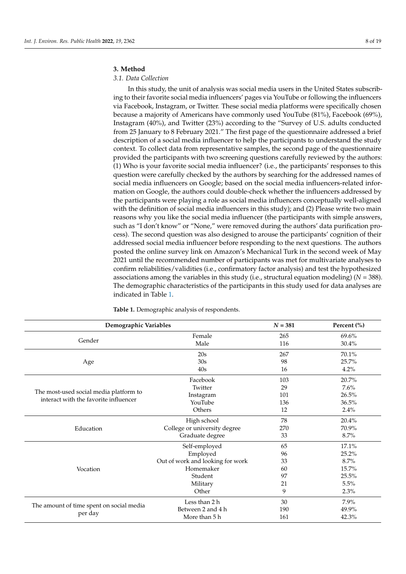### **3. Method**

### *3.1. Data Collection*

In this study, the unit of analysis was social media users in the United States subscribing to their favorite social media influencers' pages via YouTube or following the influencers via Facebook, Instagram, or Twitter. These social media platforms were specifically chosen because a majority of Americans have commonly used YouTube (81%), Facebook (69%), Instagram (40%), and Twitter (23%) according to the "Survey of U.S. adults conducted from 25 January to 8 February 2021." The first page of the questionnaire addressed a brief description of a social media influencer to help the participants to understand the study context. To collect data from representative samples, the second page of the questionnaire provided the participants with two screening questions carefully reviewed by the authors: (1) Who is your favorite social media influencer? (i.e., the participants' responses to this question were carefully checked by the authors by searching for the addressed names of social media influencers on Google; based on the social media influencers-related information on Google, the authors could double-check whether the influencers addressed by the participants were playing a role as social media influencers conceptually well-aligned with the definition of social media influencers in this study); and (2) Please write two main reasons why you like the social media influencer (the participants with simple answers, such as "I don't know" or "None," were removed during the authors' data purification process). The second question was also designed to arouse the participants' cognition of their addressed social media influencer before responding to the next questions. The authors posted the online survey link on Amazon's Mechanical Turk in the second week of May 2021 until the recommended number of participants was met for multivariate analyses to confirm reliabilities/validities (i.e., confirmatory factor analysis) and test the hypothesized associations among the variables in this study (i.e., structural equation modeling) (*N* = 388). The demographic characteristics of the participants in this study used for data analyses are indicated in Table [1.](#page-8-0)

|                                                                                 | Demographic Variables            |     | Percent (%) |
|---------------------------------------------------------------------------------|----------------------------------|-----|-------------|
|                                                                                 | Female                           | 265 | 69.6%       |
| Gender                                                                          | Male                             | 116 | 30.4%       |
|                                                                                 | 20s                              | 267 | 70.1%       |
| Age                                                                             | 30s                              | 98  | 25.7%       |
|                                                                                 | 40s                              | 16  | 4.2%        |
|                                                                                 | Facebook                         | 103 | 20.7%       |
|                                                                                 | Twitter                          | 29  | 7.6%        |
| The most-used social media platform to<br>interact with the favorite influencer | Instagram                        | 101 | 26.5%       |
|                                                                                 | YouTube                          | 136 | 36.5%       |
|                                                                                 | Others                           | 12  | 2.4%        |
| Education                                                                       | High school                      | 78  | 20.4%       |
|                                                                                 | College or university degree     | 270 | 70.9%       |
|                                                                                 | Graduate degree                  | 33  | 8.7%        |
|                                                                                 | Self-employed                    | 65  | 17.1%       |
|                                                                                 | Employed                         | 96  | 25.2%       |
|                                                                                 | Out of work and looking for work | 33  | 8.7%        |
| Vocation                                                                        | Homemaker                        | 60  | 15.7%       |
|                                                                                 | Student                          | 97  | 25.5%       |
|                                                                                 | Military                         | 21  | 5.5%        |
|                                                                                 | Other                            | 9   | 2.3%        |
|                                                                                 | Less than 2 h                    | 30  | 7.9%        |
| The amount of time spent on social media                                        | Between 2 and 4 h                | 190 | 49.9%       |
| per day                                                                         | More than 5 h                    | 161 | 42.3%       |

<span id="page-8-0"></span>**Table 1.** Demographic analysis of respondents.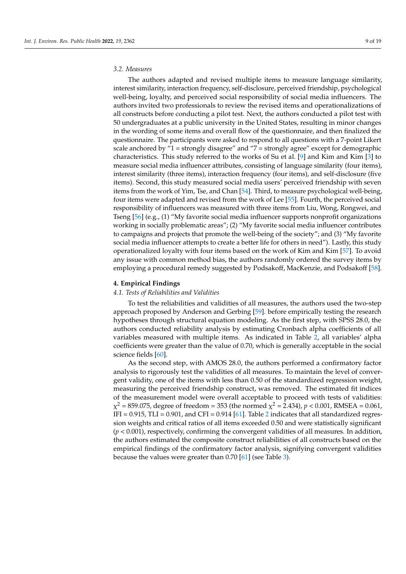# *3.2. Measures*

The authors adapted and revised multiple items to measure language similarity, interest similarity, interaction frequency, self-disclosure, perceived friendship, psychological well-being, loyalty, and perceived social responsibility of social media influencers. The authors invited two professionals to review the revised items and operationalizations of all constructs before conducting a pilot test. Next, the authors conducted a pilot test with 50 undergraduates at a public university in the United States, resulting in minor changes in the wording of some items and overall flow of the questionnaire, and then finalized the questionnaire. The participants were asked to respond to all questions with a 7-point Likert scale anchored by "1 = strongly disagree" and "7 = strongly agree" except for demographic characteristics. This study referred to the works of Su et al. [\[9\]](#page-17-8) and Kim and Kim [\[3\]](#page-17-2) to measure social media influencer attributes, consisting of language similarity (four items), interest similarity (three items), interaction frequency (four items), and self-disclosure (five items). Second, this study measured social media users' perceived friendship with seven items from the work of Yim, Tse, and Chan [\[54\]](#page-19-5). Third, to measure psychological well-being, four items were adapted and revised from the work of Lee [\[55\]](#page-19-6). Fourth, the perceived social responsibility of influencers was measured with three items from Liu, Wong, Rongwei, and Tseng [\[56\]](#page-19-7) (e.g., (1) "My favorite social media influencer supports nonprofit organizations working in socially problematic areas"; (2) "My favorite social media influencer contributes to campaigns and projects that promote the well-being of the society"; and (3) "My favorite social media influencer attempts to create a better life for others in need"). Lastly, this study operationalized loyalty with four items based on the work of Kim and Kim [\[57\]](#page-19-8). To avoid any issue with common method bias, the authors randomly ordered the survey items by employing a procedural remedy suggested by Podsakoff, MacKenzie, and Podsakoff [\[58\]](#page-19-9).

# **4. Empirical Findings**

#### *4.1. Tests of Reliabilities and Validities*

To test the reliabilities and validities of all measures, the authors used the two-step approach proposed by Anderson and Gerbing [\[59\]](#page-19-10). before empirically testing the research hypotheses through structural equation modeling. As the first step, with SPSS 28.0, the authors conducted reliability analysis by estimating Cronbach alpha coefficients of all variables measured with multiple items. As indicated in Table [2,](#page-10-0) all variables' alpha coefficients were greater than the value of 0.70, which is generally acceptable in the social science fields [\[60\]](#page-19-11).

As the second step, with AMOS 28.0, the authors performed a confirmatory factor analysis to rigorously test the validities of all measures. To maintain the level of convergent validity, one of the items with less than 0.50 of the standardized regression weight, measuring the perceived friendship construct, was removed. The estimated fit indices of the measurement model were overall acceptable to proceed with tests of validities:  $\chi^2$  = 859.075, degree of freedom = 353 (the normed  $\chi^2$  = 2.434),  $p$  < 0.001, RMSEA = 0.061, IFI =  $0.915$ , TLI =  $0.901$ , and CFI =  $0.914$  [\[61\]](#page-19-12). Table [2](#page-10-0) indicates that all standardized regression weights and critical ratios of all items exceeded 0.50 and were statistically significant (*p* < 0.001), respectively, confirming the convergent validities of all measures. In addition, the authors estimated the composite construct reliabilities of all constructs based on the empirical findings of the confirmatory factor analysis, signifying convergent validities because the values were greater than 0.70 [\[61\]](#page-19-12) (see Table [3\)](#page-11-0).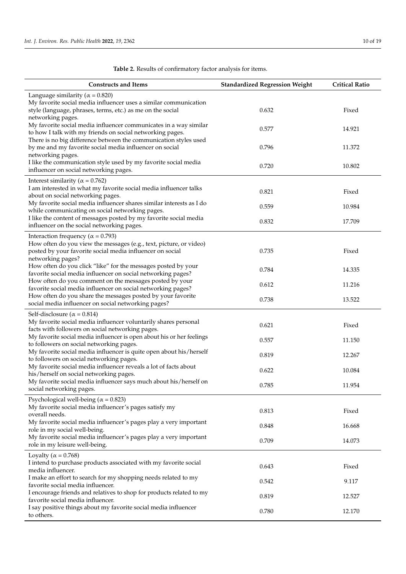l.

| <b>Constructs and Items</b>                                                                                                                                                                       | <b>Standardized Regression Weight</b> | <b>Critical Ratio</b> |
|---------------------------------------------------------------------------------------------------------------------------------------------------------------------------------------------------|---------------------------------------|-----------------------|
| Language similarity ( $\alpha$ = 0.820)<br>My favorite social media influencer uses a similar communication<br>style (language, phrases, terms, etc.) as me on the social<br>networking pages.    | 0.632                                 | Fixed                 |
| My favorite social media influencer communicates in a way similar<br>to how I talk with my friends on social networking pages.                                                                    | 0.577                                 | 14.921                |
| There is no big difference between the communication styles used<br>by me and my favorite social media influencer on social<br>networking pages.                                                  | 0.796                                 | 11.372                |
| I like the communication style used by my favorite social media<br>influencer on social networking pages.                                                                                         | 0.720                                 | 10.802                |
| Interest similarity ( $\alpha$ = 0.762)<br>I am interested in what my favorite social media influencer talks<br>about on social networking pages.                                                 | 0.821                                 | Fixed                 |
| My favorite social media influencer shares similar interests as I do<br>while communicating on social networking pages.                                                                           | 0.559                                 | 10.984                |
| I like the content of messages posted by my favorite social media<br>influencer on the social networking pages.                                                                                   | 0.832                                 | 17.709                |
| Interaction frequency ( $\alpha$ = 0.793)<br>How often do you view the messages (e.g., text, picture, or video)<br>posted by your favorite social media influencer on social<br>networking pages? | 0.735                                 | Fixed                 |
| How often do you click "like" for the messages posted by your<br>favorite social media influencer on social networking pages?                                                                     | 0.784                                 | 14.335                |
| How often do you comment on the messages posted by your<br>favorite social media influencer on social networking pages?                                                                           | 0.612                                 | 11.216                |
| How often do you share the messages posted by your favorite<br>social media influencer on social networking pages?                                                                                | 0.738                                 | 13.522                |
| Self-disclosure ( $\alpha$ = 0.814)<br>My favorite social media influencer voluntarily shares personal<br>facts with followers on social networking pages.                                        | 0.621                                 | Fixed                 |
| My favorite social media influencer is open about his or her feelings<br>to followers on social networking pages.                                                                                 | 0.557                                 | 11.150                |
| My favorite social media influencer is quite open about his/herself<br>to followers on social networking pages.                                                                                   | 0.819                                 | 12.267                |
| My favorite social media influencer reveals a lot of facts about<br>his/herself on social networking pages.                                                                                       | 0.622                                 | 10.084                |
| My favorite social media influencer says much about his/herself on<br>social networking pages.                                                                                                    | 0.785                                 | 11.954                |
| Psychological well-being ( $\alpha$ = 0.823)<br>My favorite social media influencer's pages satisfy my<br>overall needs.                                                                          | 0.813                                 | Fixed                 |
| My favorite social media influencer's pages play a very important<br>role in my social well-being.                                                                                                | 0.848                                 | 16.668                |
| My favorite social media influencer's pages play a very important<br>role in my leisure well-being.                                                                                               | 0.709                                 | 14.073                |
| Loyalty ( $\alpha$ = 0.768)<br>I intend to purchase products associated with my favorite social<br>media influencer.                                                                              | 0.643                                 | Fixed                 |
| I make an effort to search for my shopping needs related to my<br>favorite social media influencer.                                                                                               | 0.542                                 | 9.117                 |
| I encourage friends and relatives to shop for products related to my<br>favorite social media influencer.                                                                                         | 0.819                                 | 12.527                |
| I say positive things about my favorite social media influencer<br>to others.                                                                                                                     | 0.780                                 | 12.170                |

# <span id="page-10-0"></span>**Table 2.** Results of confirmatory factor analysis for items.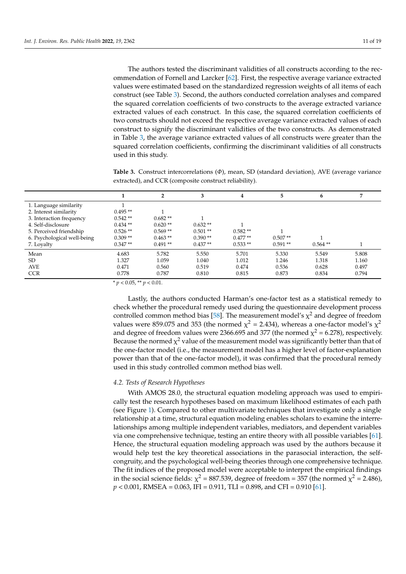The authors tested the discriminant validities of all constructs according to the recommendation of Fornell and Larcker [\[62\]](#page-19-13). First, the respective average variance extracted values were estimated based on the standardized regression weights of all items of each construct (see Table [3\)](#page-11-0). Second, the authors conducted correlation analyses and compared the squared correlation coefficients of two constructs to the average extracted variance extracted values of each construct. In this case, the squared correlation coefficients of two constructs should not exceed the respective average variance extracted values of each construct to signify the discriminant validities of the two constructs. As demonstrated in Table [3,](#page-11-0) the average variance extracted values of all constructs were greater than the squared correlation coefficients, confirming the discriminant validities of all constructs used in this study.

<span id="page-11-0"></span>**Table 3.** Construct intercorrelations (*Φ*), mean, SD (standard deviation), AVE (average variance extracted), and CCR (composite construct reliability).

|                             |           | $\mathbf{2}$ | 3         | 4         | 5         | 6          |       |
|-----------------------------|-----------|--------------|-----------|-----------|-----------|------------|-------|
| 1. Language similarity      |           |              |           |           |           |            |       |
| 2. Interest similarity      | $0.495**$ |              |           |           |           |            |       |
| 3. Interaction frequency    | $0.542**$ | $0.682**$    |           |           |           |            |       |
| 4. Self-disclosure          | $0.434**$ | $0.620**$    | $0.632**$ |           |           |            |       |
| 5. Perceived friendship     | $0.526**$ | $0.569**$    | $0.501**$ | $0.582**$ |           |            |       |
| 6. Psychological well-being | $0.309**$ | $0.463**$    | $0.390**$ | $0.477**$ | $0.507**$ |            |       |
| 7. Loyalty                  | $0.347**$ | $0.491**$    | $0.437**$ | $0.533**$ | $0.591**$ | $0.564$ ** |       |
| Mean                        | 4.683     | 5.782        | 5.550     | 5.701     | 5.330     | 5.549      | 5.808 |
| SD.                         | 1.327     | 1.059        | 1.040     | 1.012     | 1.246     | 1.318      | 1.160 |
| <b>AVE</b>                  | 0.471     | 0.560        | 0.519     | 0.474     | 0.536     | 0.628      | 0.497 |
| <b>CCR</b>                  | 0.778     | 0.787        | 0.810     | 0.815     | 0.873     | 0.834      | 0.794 |
|                             |           |              |           |           |           |            |       |

 $* p < 0.05$ ,  $* p < 0.01$ .

Lastly, the authors conducted Harman's one-factor test as a statistical remedy to check whether the procedural remedy used during the questionnaire development process controlled common method bias [\[58\]](#page-19-9). The measurement model's  $\chi^2$  and degree of freedom values were 859.075 and 353 (the normed  $\chi^2$  = 2.434), whereas a one-factor model's  $\chi^2$ and degree of freedom values were 2366.695 and 377 (the normed  $\chi^2$  = 6.278), respectively. Because the normed  $\chi^2$  value of the measurement model was significantly better than that of the one-factor model (i.e., the measurement model has a higher level of factor-explanation power than that of the one-factor model), it was confirmed that the procedural remedy used in this study controlled common method bias well.

#### *4.2. Tests of Research Hypotheses*

With AMOS 28.0, the structural equation modeling approach was used to empirically test the research hypotheses based on maximum likelihood estimates of each path (see Figure [1\)](#page-12-0). Compared to other multivariate techniques that investigate only a single relationship at a time, structural equation modeling enables scholars to examine the interrelationships among multiple independent variables, mediators, and dependent variables via one comprehensive technique, testing an entire theory with all possible variables [\[61\]](#page-19-12). Hence, the structural equation modeling approach was used by the authors because it would help test the key theoretical associations in the parasocial interaction, the selfcongruity, and the psychological well-being theories through one comprehensive technique. The fit indices of the proposed model were acceptable to interpret the empirical findings in the social science fields:  $\chi^2$  = 887.539, degree of freedom = 357 (the normed  $\chi^2$  = 2.486), *p* < 0.001, RMSEA = 0.063, IFI = 0.911, TLI = 0.898, and CFI = 0.910 [\[61\]](#page-19-12).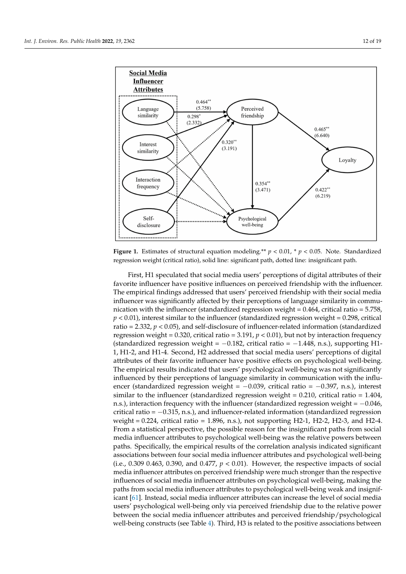<span id="page-12-0"></span>

**Figure 1.** Estimates of structural equation modeling.\*\*  $p < 0.01$ , \*  $p < 0.05$ . Note. Standardized regression weight (critical ratio), solid line: significant path, dotted line: insignificant path.

First, H1 speculated that social media users' perceptions of digital attributes of their favorite influencer have positive influences on perceived friendship with the influencer. The empirical findings addressed that users' perceived friendship with their social media influencer was significantly affected by their perceptions of language similarity in communication with the influencer (standardized regression weight  $= 0.464$ , critical ratio  $= 5.758$ ,  $p < 0.01$ ), interest similar to the influencer (standardized regression weight =  $0.298$ , critical ratio = 2.332, *p* < 0.05), and self-disclosure of influencer-related information (standardized regression weight =  $0.320$ , critical ratio =  $3.191$ ,  $p < 0.01$ ), but not by interaction frequency (standardized regression weight =  $-0.182$ , critical ratio =  $-1.448$ , n.s.), supporting H1-1, H1-2, and H1-4. Second, H2 addressed that social media users' perceptions of digital attributes of their favorite influencer have positive effects on psychological well-being. The empirical results indicated that users' psychological well-being was not significantly influenced by their perceptions of language similarity in communication with the influencer (standardized regression weight = −0.039, critical ratio = −0.397, n.s.), interest similar to the influencer (standardized regression weight =  $0.210$ , critical ratio =  $1.404$ , n.s.), interaction frequency with the influencer (standardized regression weight = −0.046, critical ratio =  $-0.315$ , n.s.), and influencer-related information (standardized regression weight = 0.224, critical ratio = 1.896, n.s.), not supporting H2-1, H2-2, H2-3, and H2-4. From a statistical perspective, the possible reason for the insignificant paths from social media influencer attributes to psychological well-being was the relative powers between paths. Specifically, the empirical results of the correlation analysis indicated significant associations between four social media influencer attributes and psychological well-being (i.e., 0.309 0.463, 0.390, and 0.477, *p* < 0.01). However, the respective impacts of social media influencer attributes on perceived friendship were much stronger than the respective influences of social media influencer attributes on psychological well-being, making the paths from social media influencer attributes to psychological well-being weak and insignificant [\[61\]](#page-19-12). Instead, social media influencer attributes can increase the level of social media users' psychological well-being only via perceived friendship due to the relative power between the social media influencer attributes and perceived friendship/psychological well-being constructs (see Table [4\)](#page-13-0). Third, H3 is related to the positive associations between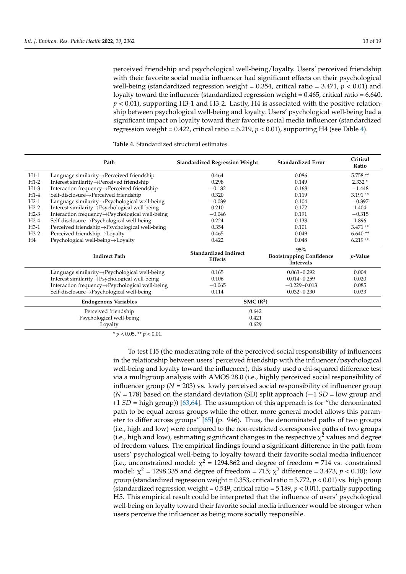perceived friendship and psychological well-being/loyalty. Users' perceived friendship with their favorite social media influencer had significant effects on their psychological well-being (standardized regression weight = 0.354, critical ratio = 3.471, *p* < 0.01) and loyalty toward the influencer (standardized regression weight = 0.465, critical ratio = 6.640, *p* < 0.01), supporting H3-1 and H3-2. Lastly, H4 is associated with the positive relationship between psychological well-being and loyalty. Users' psychological well-being had a significant impact on loyalty toward their favorite social media influencer (standardized regression weight =  $0.422$ , critical ratio =  $6.219$ ,  $p < 0.01$ ), supporting H4 (see Table [4\)](#page-13-0).

<span id="page-13-0"></span>**Table 4.** Standardized structural estimates.

|        | Path                                                        | <b>Standardized Regression Weight</b>          | <b>Standardized Error</b>                                  | Critical<br>Ratio |  |
|--------|-------------------------------------------------------------|------------------------------------------------|------------------------------------------------------------|-------------------|--|
| $H1-1$ | Language similarity $\rightarrow$ Perceived friendship      | 0.464                                          | 0.086                                                      | $5.758**$         |  |
| $H1-2$ | Interest similarity->Perceived friendship                   | 0.298                                          | 0.149                                                      | $2.332*$          |  |
| $H1-3$ | Interaction frequency→Perceived friendship                  | $-0.182$                                       | 0.168                                                      | $-1.448$          |  |
| $H1-4$ | Self-disclosure→Perceived friendship                        | 0.320                                          | 0.119                                                      | $3.191**$         |  |
| $H2-1$ | Language similarity→Psychological well-being                | $-0.039$                                       | 0.104                                                      | $-0.397$          |  |
| $H2-2$ | Interest similarity->Psychological well-being               | 0.210                                          | 0.172                                                      | 1.404             |  |
| $H2-3$ | Interaction frequency→Psychological well-being              | $-0.046$                                       | 0.191                                                      | $-0.315$          |  |
| $H2-4$ | Self-disclosure $\rightarrow$ Psychological well-being      | 0.224                                          | 0.138                                                      | 1.896             |  |
| $H3-1$ | Perceived friendship→Psychological well-being               | 0.354                                          | 0.101                                                      | $3.471**$         |  |
| $H3-2$ | Perceived friendship->Loyalty                               | 0.465                                          | 0.049                                                      | $6.640**$         |  |
| H4     | Psychological well-being→Loyalty                            | 0.422                                          | 0.048                                                      | $6.219**$         |  |
|        | <b>Indirect Path</b>                                        | <b>Standardized Indirect</b><br><b>Effects</b> | 95%<br><b>Bootstrapping Confidence</b><br><b>Intervals</b> | p-Value           |  |
|        | Language similarity $\rightarrow$ Psychological well-being  | 0.165                                          | $0.063 - 0.292$                                            | 0.004             |  |
|        | Interest similarity->Psychological well-being               | 0.106                                          | $0.014 - 0.259$                                            | 0.020             |  |
|        | Interaction frequency->Psychological well-being             | $-0.065$                                       | $-0.229 - 0.013$                                           | 0.085             |  |
|        | Self-disclosure $\rightarrow$ Psychological well-being      | 0.114                                          | $0.032 - 0.230$                                            | 0.033             |  |
|        | <b>Endogenous Variables</b>                                 | SMC(R <sup>2</sup> )                           |                                                            |                   |  |
|        | Perceived friendship<br>Psychological well-being<br>Loyalty | 0.642<br>0.421<br>0.629                        |                                                            |                   |  |

\* *p* < 0.05, \*\* *p* < 0.01.

To test H5 (the moderating role of the perceived social responsibility of influencers in the relationship between users' perceived friendship with the influencer/psychological well-being and loyalty toward the influencer), this study used a chi-squared difference test via a multigroup analysis with AMOS 28.0 (i.e., highly perceived social responsibility of influencer group  $(N = 203)$  vs. lowly perceived social responsibility of influencer group (*N* = 178) based on the standard deviation (SD) split approach (−1 *SD* = low group and +1 *SD* = high group)) [\[63](#page-19-14)[,64\]](#page-19-15). The assumption of this approach is for "the denominated path to be equal across groups while the other, more general model allows this parameter to differ across groups" [\[65\]](#page-19-16) (p. 946). Thus, the denominated paths of two groups (i.e., high and low) were compared to the non-restricted corresponsive paths of two groups (i.e., high and low), estimating significant changes in the respective  $\chi^2$  values and degree of freedom values. The empirical findings found a significant difference in the path from users' psychological well-being to loyalty toward their favorite social media influencer (i.e., unconstrained model:  $\chi^2$  = 1294.862 and degree of freedom = 714 vs. constrained model:  $\chi^2$  = 1298.335 and degree of freedom = 715;  $\chi^2$  difference = 3.473, *p* < 0.10): low group (standardized regression weight = 0.353, critical ratio = 3.772, *p* < 0.01) vs. high group (standardized regression weight = 0.549, critical ratio = 5.189, *p* < 0.01), partially supporting H5. This empirical result could be interpreted that the influence of users' psychological well-being on loyalty toward their favorite social media influencer would be stronger when users perceive the influencer as being more socially responsible.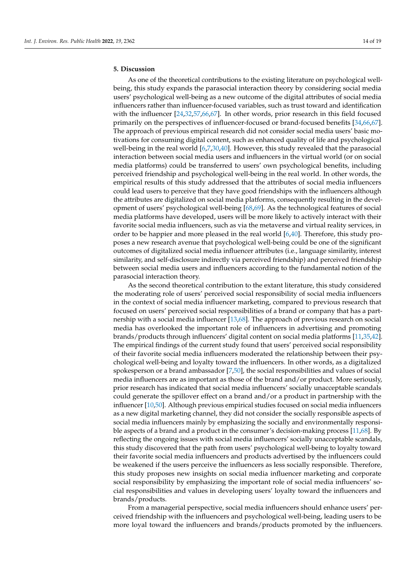# **5. Discussion**

As one of the theoretical contributions to the existing literature on psychological wellbeing, this study expands the parasocial interaction theory by considering social media users' psychological well-being as a new outcome of the digital attributes of social media influencers rather than influencer-focused variables, such as trust toward and identification with the influencer [\[24](#page-18-6)[,32](#page-18-14)[,57](#page-19-8)[,66](#page-19-17)[,67\]](#page-19-18). In other words, prior research in this field focused primarily on the perspectives of influencer-focused or brand-focused benefits [\[34,](#page-18-16)[66,](#page-19-17)[67\]](#page-19-18). The approach of previous empirical research did not consider social media users' basic motivations for consuming digital content, such as enhanced quality of life and psychological well-being in the real world [\[6](#page-17-5)[,7](#page-17-6)[,30](#page-18-12)[,40\]](#page-18-22). However, this study revealed that the parasocial interaction between social media users and influencers in the virtual world (or on social media platforms) could be transferred to users' own psychological benefits, including perceived friendship and psychological well-being in the real world. In other words, the empirical results of this study addressed that the attributes of social media influencers could lead users to perceive that they have good friendships with the influencers although the attributes are digitalized on social media platforms, consequently resulting in the development of users' psychological well-being [\[68](#page-19-19)[,69\]](#page-19-20). As the technological features of social media platforms have developed, users will be more likely to actively interact with their favorite social media influencers, such as via the metaverse and virtual reality services, in order to be happier and more pleased in the real world [\[6](#page-17-5)[,40\]](#page-18-22). Therefore, this study proposes a new research avenue that psychological well-being could be one of the significant outcomes of digitalized social media influencer attributes (i.e., language similarity, interest similarity, and self-disclosure indirectly via perceived friendship) and perceived friendship between social media users and influencers according to the fundamental notion of the parasocial interaction theory.

As the second theoretical contribution to the extant literature, this study considered the moderating role of users' perceived social responsibility of social media influencers in the context of social media influencer marketing, compared to previous research that focused on users' perceived social responsibilities of a brand or company that has a partnership with a social media influencer [\[13,](#page-17-12)[68\]](#page-19-19). The approach of previous research on social media has overlooked the important role of influencers in advertising and promoting brands/products through influencers' digital content on social media platforms [\[11](#page-17-10)[,35](#page-18-17)[,42\]](#page-18-24). The empirical findings of the current study found that users' perceived social responsibility of their favorite social media influencers moderated the relationship between their psychological well-being and loyalty toward the influencers. In other words, as a digitalized spokesperson or a brand ambassador [\[7](#page-17-6)[,50\]](#page-19-1), the social responsibilities and values of social media influencers are as important as those of the brand and/or product. More seriously, prior research has indicated that social media influencers' socially unacceptable scandals could generate the spillover effect on a brand and/or a product in partnership with the influencer [\[10](#page-17-9)[,50\]](#page-19-1). Although previous empirical studies focused on social media influencers as a new digital marketing channel, they did not consider the socially responsible aspects of social media influencers mainly by emphasizing the socially and environmentally responsible aspects of a brand and a product in the consumer's decision-making process [\[11,](#page-17-10)[68\]](#page-19-19). By reflecting the ongoing issues with social media influencers' socially unacceptable scandals, this study discovered that the path from users' psychological well-being to loyalty toward their favorite social media influencers and products advertised by the influencers could be weakened if the users perceive the influencers as less socially responsible. Therefore, this study proposes new insights on social media influencer marketing and corporate social responsibility by emphasizing the important role of social media influencers' social responsibilities and values in developing users' loyalty toward the influencers and brands/products.

From a managerial perspective, social media influencers should enhance users' perceived friendship with the influencers and psychological well-being, leading users to be more loyal toward the influencers and brands/products promoted by the influencers.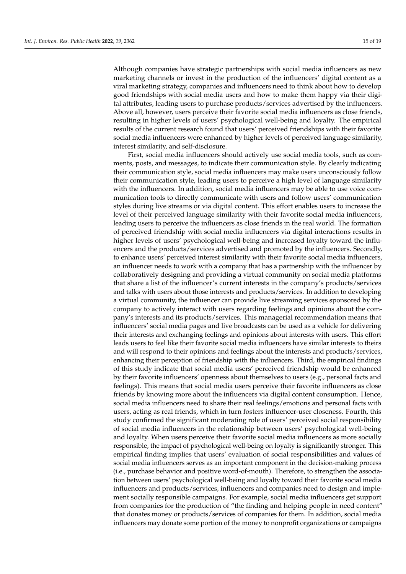Although companies have strategic partnerships with social media influencers as new marketing channels or invest in the production of the influencers' digital content as a viral marketing strategy, companies and influencers need to think about how to develop good friendships with social media users and how to make them happy via their digital attributes, leading users to purchase products/services advertised by the influencers. Above all, however, users perceive their favorite social media influencers as close friends, resulting in higher levels of users' psychological well-being and loyalty. The empirical results of the current research found that users' perceived friendships with their favorite social media influencers were enhanced by higher levels of perceived language similarity, interest similarity, and self-disclosure.

First, social media influencers should actively use social media tools, such as comments, posts, and messages, to indicate their communication style. By clearly indicating their communication style, social media influencers may make users unconsciously follow their communication style, leading users to perceive a high level of language similarity with the influencers. In addition, social media influencers may be able to use voice communication tools to directly communicate with users and follow users' communication styles during live streams or via digital content. This effort enables users to increase the level of their perceived language similarity with their favorite social media influencers, leading users to perceive the influencers as close friends in the real world. The formation of perceived friendship with social media influencers via digital interactions results in higher levels of users' psychological well-being and increased loyalty toward the influencers and the products/services advertised and promoted by the influencers. Secondly, to enhance users' perceived interest similarity with their favorite social media influencers, an influencer needs to work with a company that has a partnership with the influencer by collaboratively designing and providing a virtual community on social media platforms that share a list of the influencer's current interests in the company's products/services and talks with users about those interests and products/services. In addition to developing a virtual community, the influencer can provide live streaming services sponsored by the company to actively interact with users regarding feelings and opinions about the company's interests and its products/services. This managerial recommendation means that influencers' social media pages and live broadcasts can be used as a vehicle for delivering their interests and exchanging feelings and opinions about interests with users. This effort leads users to feel like their favorite social media influencers have similar interests to theirs and will respond to their opinions and feelings about the interests and products/services, enhancing their perception of friendship with the influencers. Third, the empirical findings of this study indicate that social media users' perceived friendship would be enhanced by their favorite influencers' openness about themselves to users (e.g., personal facts and feelings). This means that social media users perceive their favorite influencers as close friends by knowing more about the influencers via digital content consumption. Hence, social media influencers need to share their real feelings/emotions and personal facts with users, acting as real friends, which in turn fosters influencer-user closeness. Fourth, this study confirmed the significant moderating role of users' perceived social responsibility of social media influencers in the relationship between users' psychological well-being and loyalty. When users perceive their favorite social media influencers as more socially responsible, the impact of psychological well-being on loyalty is significantly stronger. This empirical finding implies that users' evaluation of social responsibilities and values of social media influencers serves as an important component in the decision-making process (i.e., purchase behavior and positive word-of-mouth). Therefore, to strengthen the association between users' psychological well-being and loyalty toward their favorite social media influencers and products/services, influencers and companies need to design and implement socially responsible campaigns. For example, social media influencers get support from companies for the production of "the finding and helping people in need content" that donates money or products/services of companies for them. In addition, social media influencers may donate some portion of the money to nonprofit organizations or campaigns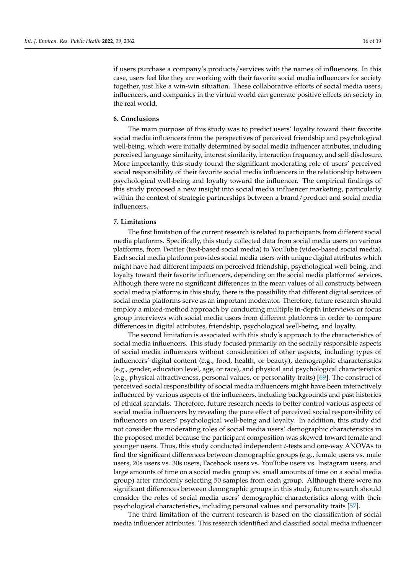if users purchase a company's products/services with the names of influencers. In this case, users feel like they are working with their favorite social media influencers for society together, just like a win-win situation. These collaborative efforts of social media users, influencers, and companies in the virtual world can generate positive effects on society in the real world.

# **6. Conclusions**

The main purpose of this study was to predict users' loyalty toward their favorite social media influencers from the perspectives of perceived friendship and psychological well-being, which were initially determined by social media influencer attributes, including perceived language similarity, interest similarity, interaction frequency, and self-disclosure. More importantly, this study found the significant moderating role of users' perceived social responsibility of their favorite social media influencers in the relationship between psychological well-being and loyalty toward the influencer. The empirical findings of this study proposed a new insight into social media influencer marketing, particularly within the context of strategic partnerships between a brand/product and social media influencers.

# **7. Limitations**

The first limitation of the current research is related to participants from different social media platforms. Specifically, this study collected data from social media users on various platforms, from Twitter (text-based social media) to YouTube (video-based social media). Each social media platform provides social media users with unique digital attributes which might have had different impacts on perceived friendship, psychological well-being, and loyalty toward their favorite influencers, depending on the social media platforms' services. Although there were no significant differences in the mean values of all constructs between social media platforms in this study, there is the possibility that different digital services of social media platforms serve as an important moderator. Therefore, future research should employ a mixed-method approach by conducting multiple in-depth interviews or focus group interviews with social media users from different platforms in order to compare differences in digital attributes, friendship, psychological well-being, and loyalty.

The second limitation is associated with this study's approach to the characteristics of social media influencers. This study focused primarily on the socially responsible aspects of social media influencers without consideration of other aspects, including types of influencers' digital content (e.g., food, health, or beauty), demographic characteristics (e.g., gender, education level, age, or race), and physical and psychological characteristics (e.g., physical attractiveness, personal values, or personality traits) [\[69\]](#page-19-20). The construct of perceived social responsibility of social media influencers might have been interactively influenced by various aspects of the influencers, including backgrounds and past histories of ethical scandals. Therefore, future research needs to better control various aspects of social media influencers by revealing the pure effect of perceived social responsibility of influencers on users' psychological well-being and loyalty. In addition, this study did not consider the moderating roles of social media users' demographic characteristics in the proposed model because the participant composition was skewed toward female and younger users. Thus, this study conducted independent *t*-tests and one-way ANOVAs to find the significant differences between demographic groups (e.g., female users vs. male users, 20s users vs. 30s users, Facebook users vs. YouTube users vs. Instagram users, and large amounts of time on a social media group vs. small amounts of time on a social media group) after randomly selecting 50 samples from each group. Although there were no significant differences between demographic groups in this study, future research should consider the roles of social media users' demographic characteristics along with their psychological characteristics, including personal values and personality traits [\[57\]](#page-19-8).

The third limitation of the current research is based on the classification of social media influencer attributes. This research identified and classified social media influencer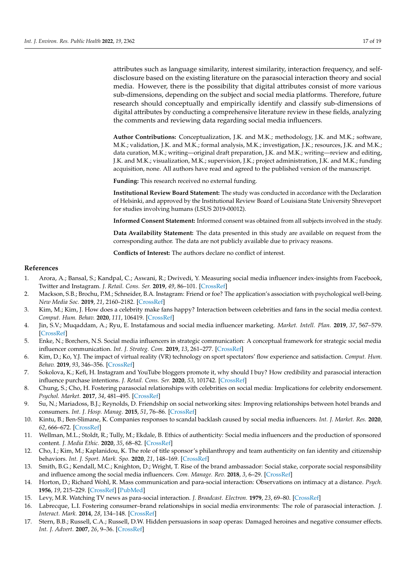attributes such as language similarity, interest similarity, interaction frequency, and selfdisclosure based on the existing literature on the parasocial interaction theory and social media. However, there is the possibility that digital attributes consist of more various sub-dimensions, depending on the subject and social media platforms. Therefore, future research should conceptually and empirically identify and classify sub-dimensions of digital attributes by conducting a comprehensive literature review in these fields, analyzing the comments and reviewing data regarding social media influencers.

**Author Contributions:** Conceptualization, J.K. and M.K.; methodology, J.K. and M.K.; software, M.K.; validation, J.K. and M.K.; formal analysis, M.K.; investigation, J.K.; resources, J.K. and M.K.; data curation, M.K.; writing—original draft preparation, J.K. and M.K.; writing—review and editing, J.K. and M.K.; visualization, M.K.; supervision, J.K.; project administration, J.K. and M.K.; funding acquisition, none. All authors have read and agreed to the published version of the manuscript.

**Funding:** This research received no external funding.

**Institutional Review Board Statement:** The study was conducted in accordance with the Declaration of Helsinki, and approved by the Institutional Review Board of Louisiana State University Shreveport for studies involving humans (LSUS 2019-00012).

**Informed Consent Statement:** Informed consent was obtained from all subjects involved in the study.

**Data Availability Statement:** The data presented in this study are available on request from the corresponding author. The data are not publicly available due to privacy reasons.

**Conflicts of Interest:** The authors declare no conflict of interest.

# **References**

- <span id="page-17-0"></span>1. Arora, A.; Bansal, S.; Kandpal, C.; Aswani, R.; Dwivedi, Y. Measuring social media influencer index-insights from Facebook, Twitter and Instagram. *J. Retail. Cons. Ser.* **2019**, *49*, 86–101. [\[CrossRef\]](http://doi.org/10.1016/j.jretconser.2019.03.012)
- <span id="page-17-1"></span>2. Mackson, S.B.; Brochu, P.M.; Schneider, B.A. Instagram: Friend or foe? The application's association with psychological well-being. *New Media Soc.* **2019**, *21*, 2160–2182. [\[CrossRef\]](http://doi.org/10.1177/1461444819840021)
- <span id="page-17-2"></span>3. Kim, M.; Kim, J. How does a celebrity make fans happy? Interaction between celebrities and fans in the social media context. *Comput. Hum. Behav.* **2020**, *111*, 106419. [\[CrossRef\]](http://doi.org/10.1016/j.chb.2020.106419)
- <span id="page-17-3"></span>4. Jin, S.V.; Muqaddam, A.; Ryu, E. Instafamous and social media influencer marketing. *Market. Intell. Plan.* **2019**, *37*, 567–579. [\[CrossRef\]](http://doi.org/10.1108/MIP-09-2018-0375)
- <span id="page-17-4"></span>5. Enke, N.; Borchers, N.S. Social media influencers in strategic communication: A conceptual framework for strategic social media influencer communication. *Int. J. Strateg. Com.* **2019**, *13*, 261–277. [\[CrossRef\]](http://doi.org/10.1080/1553118X.2019.1620234)
- <span id="page-17-5"></span>6. Kim, D.; Ko, Y.J. The impact of virtual reality (VR) technology on sport spectators' flow experience and satisfaction. *Comput. Hum. Behav.* **2019**, *93*, 346–356. [\[CrossRef\]](http://doi.org/10.1016/j.chb.2018.12.040)
- <span id="page-17-6"></span>7. Sokolova, K.; Kefi, H. Instagram and YouTube bloggers promote it, why should I buy? How credibility and parasocial interaction influence purchase intentions. *J. Retail. Cons. Ser.* **2020**, *53*, 101742. [\[CrossRef\]](http://doi.org/10.1016/j.jretconser.2019.01.011)
- <span id="page-17-7"></span>8. Chung, S.; Cho, H. Fostering parasocial relationships with celebrities on social media: Implications for celebrity endorsement. *Psychol. Market.* **2017**, *34*, 481–495. [\[CrossRef\]](http://doi.org/10.1002/mar.21001)
- <span id="page-17-8"></span>9. Su, N.; Mariadoss, B.J.; Reynolds, D. Friendship on social networking sites: Improving relationships between hotel brands and consumers. *Int. J. Hosp. Manag.* **2015**, *51*, 76–86. [\[CrossRef\]](http://doi.org/10.1016/j.ijhm.2015.08.009)
- <span id="page-17-9"></span>10. Kintu, B.; Ben-Slimane, K. Companies responses to scandal backlash caused by social media influencers. *Int. J. Market. Res.* **2020**, *62*, 666–672. [\[CrossRef\]](http://doi.org/10.1177/1470785320957577)
- <span id="page-17-10"></span>11. Wellman, M.L.; Stoldt, R.; Tully, M.; Ekdale, B. Ethics of authenticity: Social media influencers and the production of sponsored content. *J. Media Ethic.* **2020**, *35*, 68–82. [\[CrossRef\]](http://doi.org/10.1080/23736992.2020.1736078)
- <span id="page-17-11"></span>12. Cho, I.; Kim, M.; Kaplanidou, K. The role of title sponsor's philanthropy and team authenticity on fan identity and citizenship behaviors. *Int. J. Sport. Mark. Spo.* **2020**, *21*, 148–169. [\[CrossRef\]](http://doi.org/10.1108/IJSMS-09-2018-0093)
- <span id="page-17-12"></span>13. Smith, B.G.; Kendall, M.C.; Knighton, D.; Wright, T. Rise of the brand ambassador: Social stake, corporate social responsibility and influence among the social media influencers. *Com. Manage. Rev.* **2018**, *3*, 6–29. [\[CrossRef\]](http://doi.org/10.22522/cmr20180127)
- <span id="page-17-13"></span>14. Horton, D.; Richard Wohl, R. Mass communication and para-social interaction: Observations on intimacy at a distance. *Psych.* **1956**, *19*, 215–229. [\[CrossRef\]](http://doi.org/10.1080/00332747.1956.11023049) [\[PubMed\]](http://www.ncbi.nlm.nih.gov/pubmed/13359569)
- <span id="page-17-14"></span>15. Levy, M.R. Watching TV news as para-social interaction. *J. Broadcast. Electron.* **1979**, *23*, 69–80. [\[CrossRef\]](http://doi.org/10.1080/08838157909363919)
- <span id="page-17-15"></span>16. Labrecque, L.I. Fostering consumer–brand relationships in social media environments: The role of parasocial interaction. *J. Interact. Mark.* **2014**, *28*, 134–148. [\[CrossRef\]](http://doi.org/10.1016/j.intmar.2013.12.003)
- <span id="page-17-16"></span>17. Stern, B.B.; Russell, C.A.; Russell, D.W. Hidden persuasions in soap operas: Damaged heroines and negative consumer effects. *Int. J. Advert.* **2007**, *26*, 9–36. [\[CrossRef\]](http://doi.org/10.1080/02650487.2007.11072994)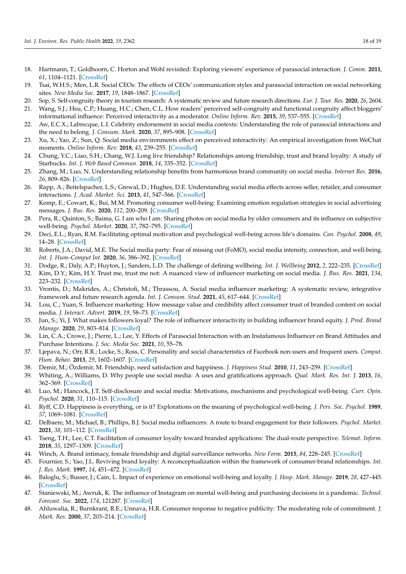- <span id="page-18-0"></span>18. Hartmann, T.; Goldhoorn, C. Horton and Wohl revisited: Exploring viewers' experience of parasocial interaction. *J. Comm.* **2011**, *61*, 1104–1121. [\[CrossRef\]](http://doi.org/10.1111/j.1460-2466.2011.01595.x)
- <span id="page-18-1"></span>19. Tsai, W.H.S.; Men, L.R. Social CEOs: The effects of CEOs' communication styles and parasocial interaction on social networking sites. *New Media Soc.* **2017**, *19*, 1848–1867. [\[CrossRef\]](http://doi.org/10.1177/1461444816643922)
- <span id="page-18-2"></span>20. Sop, S. Self-congruity theory in tourism research: A systematic review and future research directions. *Eur. J. Tour. Res.* **2020**, *26*, 2604.
- <span id="page-18-3"></span>21. Wang, S.J.; Hsu, C.P.; Huang, H.C.; Chen, C.L. How readers' perceived self-congruity and functional congruity affect bloggers' informational influence: Perceived interactivity as a moderator. *Online Inform. Rev.* **2015**, *39*, 537–555. [\[CrossRef\]](http://doi.org/10.1108/OIR-02-2015-0063)
- <span id="page-18-4"></span>22. Aw, E.C.X.; Labrecque, L.I. Celebrity endorsement in social media contexts: Understanding the role of parasocial interactions and the need to belong. *J. Consum. Mark.* **2020**, *37*, 895–908. [\[CrossRef\]](http://doi.org/10.1108/JCM-10-2019-3474)
- <span id="page-18-5"></span>23. Xu, X.; Yao, Z.; Sun, Q. Social media environments effect on perceived interactivity: An empirical investigation from WeChat moments. *Online Inform. Rev.* **2018**, *43*, 239–255. [\[CrossRef\]](http://doi.org/10.1108/OIR-12-2016-0344)
- <span id="page-18-6"></span>24. Chung, Y.C.; Liao, S.H.; Chang, W.J. Long live friendship? Relationships among friendship, trust and brand loyalty: A study of Starbucks. *Int. J. Web Based Commun.* **2018**, *14*, 335–352. [\[CrossRef\]](http://doi.org/10.1504/IJWBC.2018.096244)
- <span id="page-18-7"></span>25. Zhang, M.; Luo, N. Understanding relationship benefits from harmonious brand community on social media. *Internet Res.* **2016**, *26*, 809–826. [\[CrossRef\]](http://doi.org/10.1108/IntR-05-2015-0149)
- <span id="page-18-8"></span>26. Rapp, A.; Beitelspacher, L.S.; Grewal, D.; Hughes, D.E. Understanding social media effects across seller, retailer, and consumer interactions. *J. Acad. Market. Sci.* **2013**, *41*, 547–566. [\[CrossRef\]](http://doi.org/10.1007/s11747-013-0326-9)
- <span id="page-18-9"></span>27. Kemp, E.; Cowart, K.; Bui, M.M. Promoting consumer well-being: Examining emotion regulation strategies in social advertising messages. *J. Bus. Res.* **2020**, *112*, 200–209. [\[CrossRef\]](http://doi.org/10.1016/j.jbusres.2020.03.010)
- <span id="page-18-10"></span>28. Pera, R.; Quinton, S.; Baima, G. I am who I am: Sharing photos on social media by older consumers and its influence on subjective well-being. *Psychol. Market.* **2020**, *37*, 782–795. [\[CrossRef\]](http://doi.org/10.1002/mar.21337)
- <span id="page-18-13"></span>29. Deci, E.L.; Ryan, R.M. Facilitating optimal motivation and psychological well-being across life's domains. *Can. Psychol.* **2008**, *49*, 14–28. [\[CrossRef\]](http://doi.org/10.1037/0708-5591.49.1.14)
- <span id="page-18-12"></span>30. Roberts, J.A.; David, M.E. The Social media party: Fear of missing out (FoMO), social media intensity, connection, and well-being. *Int. J. Hum–Comput Int.* **2020**, *36*, 386–392. [\[CrossRef\]](http://doi.org/10.1080/10447318.2019.1646517)
- <span id="page-18-11"></span>31. Dodge, R.; Daly, A.P.; Huyton, J.; Sanders, L.D. The challenge of defining wellbeing. *Int. J. Wellbeing* **2012**, *2*, 222–235. [\[CrossRef\]](http://doi.org/10.5502/ijw.v2i3.4)
- <span id="page-18-14"></span>32. Kim, D.Y.; Kim, H.Y. Trust me, trust me not: A nuanced view of influencer marketing on social media. *J. Bus. Res.* **2021**, *134*, 223–232. [\[CrossRef\]](http://doi.org/10.1016/j.jbusres.2021.05.024)
- <span id="page-18-15"></span>33. Vrontis, D.; Makrides, A.; Christofi, M.; Thrassou, A. Social media influencer marketing: A systematic review, integrative framework and future research agenda. *Int. J. Consum. Stud.* **2021**, *45*, 617–644. [\[CrossRef\]](http://doi.org/10.1111/ijcs.12647)
- <span id="page-18-16"></span>34. Lou, C.; Yuan, S. Influencer marketing: How message value and credibility affect consumer trust of branded content on social media. *J. Interact. Advert.* **2019**, *19*, 58–73. [\[CrossRef\]](http://doi.org/10.1080/15252019.2018.1533501)
- <span id="page-18-17"></span>35. Jun, S.; Yi, J. What makes followers loyal? The role of influencer interactivity in building influencer brand equity. *J. Prod. Brand Manage.* **2020**, *29*, 803–814. [\[CrossRef\]](http://doi.org/10.1108/JPBM-02-2019-2280)
- <span id="page-18-18"></span>36. Lin, C.A.; Crowe, J.; Pierre, L.; Lee, Y. Effects of Parasocial Interaction with an Instafamous Influencer on Brand Attitudes and Purchase Intentions. *J. Soc. Media Soc.* **2021**, *10*, 55–78.
- <span id="page-18-19"></span>37. Ljepava, N.; Orr, R.R.; Locke, S.; Ross, C. Personality and social characteristics of Facebook non-users and frequent users. *Comput. Hum. Behav.* **2013**, *29*, 1602–1607. [\[CrossRef\]](http://doi.org/10.1016/j.chb.2013.01.026)
- <span id="page-18-20"></span>38. Demir, M.; Özdemir, M. Friendship, need satisfaction and happiness. *J. Happiness Stud.* **2010**, *11*, 243–259. [\[CrossRef\]](http://doi.org/10.1007/s10902-009-9138-5)
- <span id="page-18-21"></span>39. Whiting, A.; Williams, D. Why people use social media: A uses and gratifications approach. *Qual. Mark. Res. Int. J.* **2013**, *16*, 362–369. [\[CrossRef\]](http://doi.org/10.1108/QMR-06-2013-0041)
- <span id="page-18-22"></span>40. Luo, M.; Hancock, J.T. Self-disclosure and social media: Motivations, mechanisms and psychological well-being. *Curr. Opin. Psychol.* **2020**, *31*, 110–115. [\[CrossRef\]](http://doi.org/10.1016/j.copsyc.2019.08.019)
- <span id="page-18-23"></span>41. Ryff, C.D. Happiness is everything, or is it? Explorations on the meaning of psychological well-being. *J. Pers. Soc. Psychol.* **1989**, *57*, 1069–1081. [\[CrossRef\]](http://doi.org/10.1037/0022-3514.57.6.1069)
- <span id="page-18-24"></span>42. Delbaere, M.; Michael, B.; Phillips, B.J. Social media influencers: A route to brand engagement for their followers. *Psychol. Market.* **2021**, *38*, 101–112. [\[CrossRef\]](http://doi.org/10.1002/mar.21419)
- <span id="page-18-25"></span>43. Tseng, T.H.; Lee, C.T. Facilitation of consumer loyalty toward branded applications: The dual-route perspective. *Telemat. Inform.* **2018**, *35*, 1297–1309. [\[CrossRef\]](http://doi.org/10.1016/j.tele.2018.03.002)
- <span id="page-18-26"></span>44. Winch, A. Brand intimacy, female friendship and digital surveillance networks. *New Form.* **2015**, *84*, 228–245. [\[CrossRef\]](http://doi.org/10.3898/NewF:84/85.11.2015)
- <span id="page-18-27"></span>45. Fournier, S.; Yao, J.L. Reviving brand loyalty: A reconceptualization within the framework of consumer-brand relationships. *Int. J. Res. Mark.* **1997**, *14*, 451–472. [\[CrossRef\]](http://doi.org/10.1016/S0167-8116(97)00021-9)
- <span id="page-18-28"></span>46. Baloglu, S.; Busser, J.; Cain, L. Impact of experience on emotional well-being and loyalty. *J. Hosp. Mark. Manage.* **2019**, *28*, 427–445. [\[CrossRef\]](http://doi.org/10.1080/19368623.2019.1527269)
- <span id="page-18-29"></span>47. Staniewski, M.; Awruk, K. The influence of Instagram on mental well-being and purchasing decisions in a pandemic. *Technol. Forecast. Soc.* **2022**, *174*, 121287. [\[CrossRef\]](http://doi.org/10.1016/j.techfore.2021.121287)
- <span id="page-18-30"></span>48. Ahluwalia, R.; Burnkrant, R.E.; Unnava, H.R. Consumer response to negative publicity: The moderating role of commitment. *J. Mark. Res.* **2000**, *37*, 203–214. [\[CrossRef\]](http://doi.org/10.1509/jmkr.37.2.203.18734)